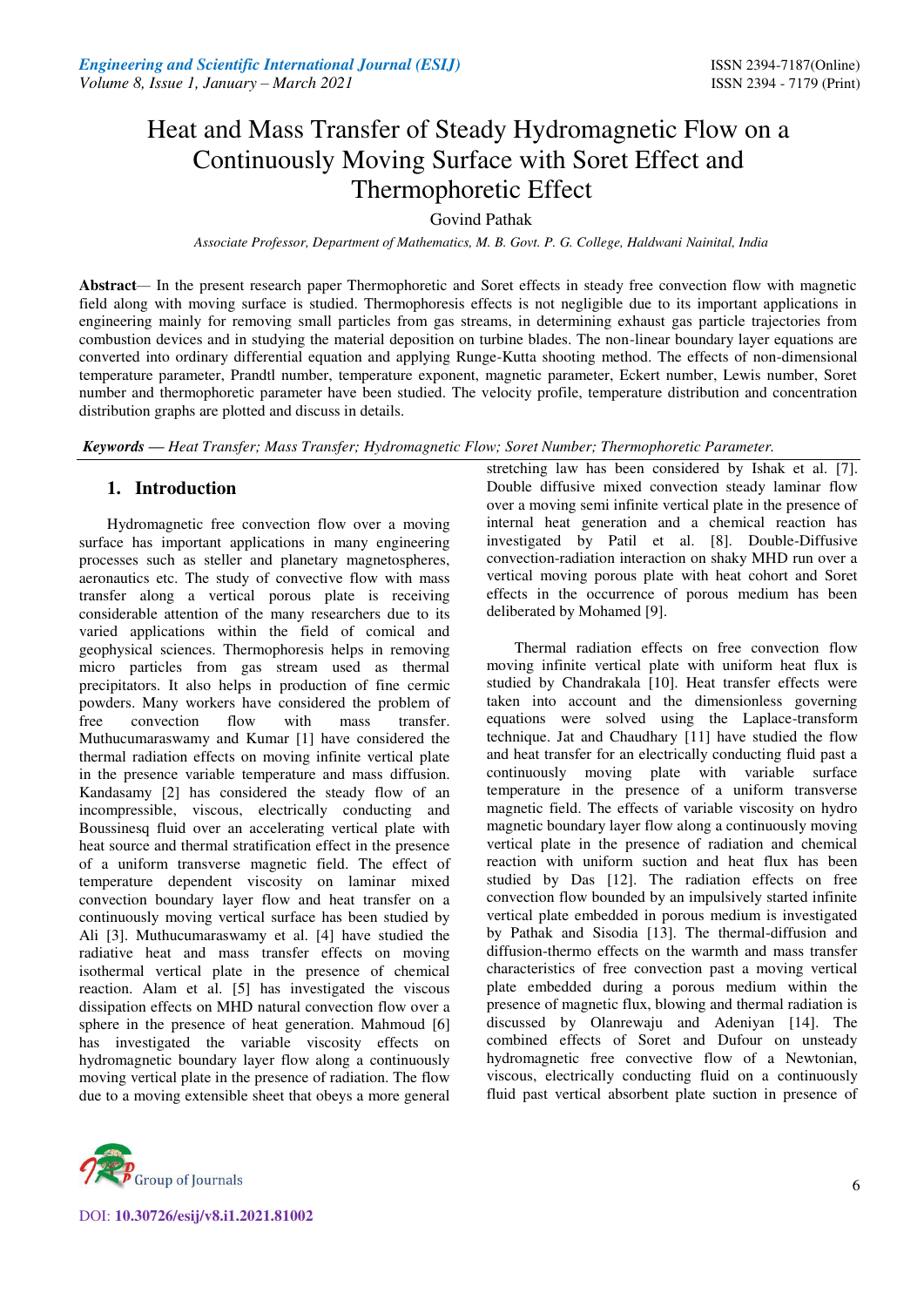# Heat and Mass Transfer of Steady Hydromagnetic Flow on a Continuously Moving Surface with Soret Effect and Thermophoretic Effect

# Govind Pathak

*Associate Professor, Department of Mathematics, M. B. Govt. P. G. College, Haldwani Nainital, India* 

**Abstract***—* In the present research paper Thermophoretic and Soret effects in steady free convection flow with magnetic field along with moving surface is studied. Thermophoresis effects is not negligible due to its important applications in engineering mainly for removing small particles from gas streams, in determining exhaust gas particle trajectories from combustion devices and in studying the material deposition on turbine blades. The non-linear boundary layer equations are converted into ordinary differential equation and applying Runge-Kutta shooting method. The effects of non-dimensional temperature parameter, Prandtl number, temperature exponent, magnetic parameter, Eckert number, Lewis number, Soret number and thermophoretic parameter have been studied. The velocity profile, temperature distribution and concentration distribution graphs are plotted and discuss in details.

*Keywords* **—** *Heat Transfer; Mass Transfer; Hydromagnetic Flow; Soret Number; Thermophoretic Parameter.* 

# **1. Introduction**

Hydromagnetic free convection flow over a moving surface has important applications in many engineering processes such as steller and planetary magnetospheres, aeronautics etc. The study of convective flow with mass transfer along a vertical porous plate is receiving considerable attention of the many researchers due to its varied applications within the field of comical and geophysical sciences. Thermophoresis helps in removing micro particles from gas stream used as thermal precipitators. It also helps in production of fine cermic powders. Many workers have considered the problem of free convection flow with mass transfer. Muthucumaraswamy and Kumar [1] have considered the thermal radiation effects on moving infinite vertical plate in the presence variable temperature and mass diffusion. Kandasamy [2] has considered the steady flow of an incompressible, viscous, electrically conducting and Boussinesq fluid over an accelerating vertical plate with heat source and thermal stratification effect in the presence of a uniform transverse magnetic field. The effect of temperature dependent viscosity on laminar mixed convection boundary layer flow and heat transfer on a continuously moving vertical surface has been studied by Ali [3]. Muthucumaraswamy et al. [4] have studied the radiative heat and mass transfer effects on moving isothermal vertical plate in the presence of chemical reaction. Alam et al. [5] has investigated the viscous dissipation effects on MHD natural convection flow over a sphere in the presence of heat generation. Mahmoud [6] has investigated the variable viscosity effects on hydromagnetic boundary layer flow along a continuously moving vertical plate in the presence of radiation. The flow due to a moving extensible sheet that obeys a more general



Thermal radiation effects on free convection flow moving infinite vertical plate with uniform heat flux is studied by Chandrakala [10]. Heat transfer effects were taken into account and the dimensionless governing equations were solved using the Laplace-transform technique. Jat and Chaudhary [11] have studied the flow and heat transfer for an electrically conducting fluid past a continuously moving plate with variable surface temperature in the presence of a uniform transverse magnetic field. The effects of variable viscosity on hydro magnetic boundary layer flow along a continuously moving vertical plate in the presence of radiation and chemical reaction with uniform suction and heat flux has been studied by Das [12]. The radiation effects on free convection flow bounded by an impulsively started infinite vertical plate embedded in porous medium is investigated by Pathak and Sisodia [13]. The thermal-diffusion and diffusion-thermo effects on the warmth and mass transfer characteristics of free convection past a moving vertical plate embedded during a porous medium within the presence of magnetic flux, blowing and thermal radiation is discussed by Olanrewaju and Adeniyan [14]. The combined effects of Soret and Dufour on unsteady hydromagnetic free convective flow of a Newtonian, viscous, electrically conducting fluid on a continuously fluid past vertical absorbent plate suction in presence of

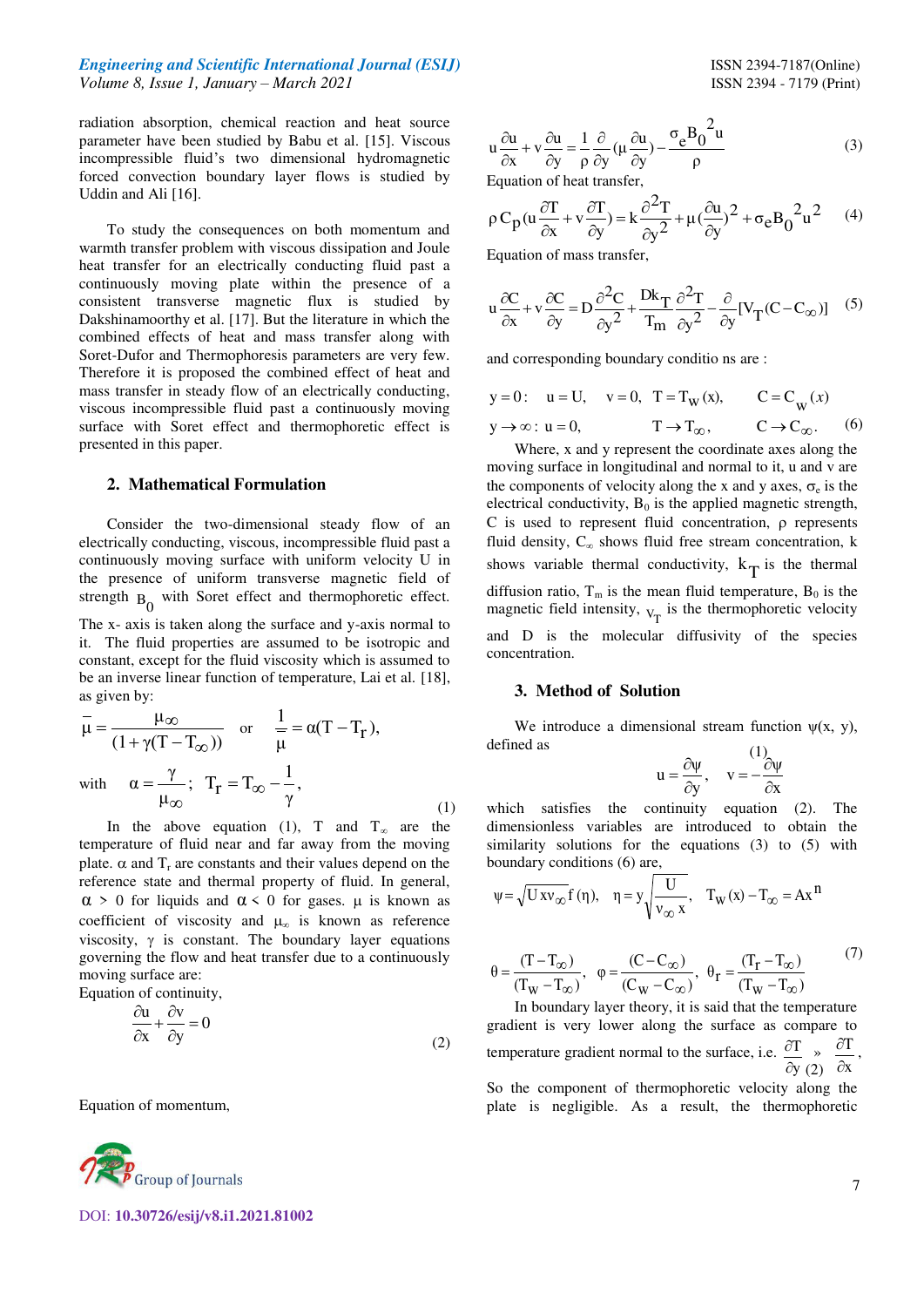### *Engineering and Scientific International Journal (ESIJ)* **ISSN 2394-7187(Online) ISSN 2394-7187(Online)** *Volume 8, Issue 1, January – March 2021* ISSN 2394 - 7179 (Print)

radiation absorption, chemical reaction and heat source parameter have been studied by Babu et al. [15]. Viscous incompressible fluid's two dimensional hydromagnetic forced convection boundary layer flows is studied by Uddin and Ali [16].

To study the consequences on both momentum and warmth transfer problem with viscous dissipation and Joule heat transfer for an electrically conducting fluid past a continuously moving plate within the presence of a consistent transverse magnetic flux is studied by Dakshinamoorthy et al. [17]. But the literature in which the combined effects of heat and mass transfer along with Soret-Dufor and Thermophoresis parameters are very few. Therefore it is proposed the combined effect of heat and mass transfer in steady flow of an electrically conducting, viscous incompressible fluid past a continuously moving surface with Soret effect and thermophoretic effect is presented in this paper.

#### **2. Mathematical Formulation**

Consider the two-dimensional steady flow of an electrically conducting, viscous, incompressible fluid past a continuously moving surface with uniform velocity U in the presence of uniform transverse magnetic field of strength  $B_0$  with Soret effect and thermophoretic effect. The x- axis is taken along the surface and y-axis normal to it. The fluid properties are assumed to be isotropic and constant, except for the fluid viscosity which is assumed to be an inverse linear function of temperature, Lai et al. [18], as given by:

$$
\bar{\mu} = \frac{\mu_{\infty}}{(1 + \gamma(T - T_{\infty}))} \quad \text{or} \quad \frac{1}{\mu} = \alpha(T - T_{r}),
$$
  
with 
$$
\alpha = \frac{\gamma}{\mu_{\infty}}; \quad T_{r} = T_{\infty} - \frac{1}{\gamma},
$$
 (1)

In the above equation (1), T and  $T_{\infty}$  are the temperature of fluid near and far away from the moving plate.  $\alpha$  and  $T_r$  are constants and their values depend on the reference state and thermal property of fluid. In general,  $\alpha$  > 0 for liquids and  $\alpha$  < 0 for gases.  $\mu$  is known as coefficient of viscosity and  $\mu_{\infty}$  is known as reference viscosity,  $\gamma$  is constant. The boundary layer equations governing the flow and heat transfer due to a continuously moving surface are:

Equation of continuity,

$$
\frac{\partial u}{\partial x} + \frac{\partial v}{\partial y} = 0\tag{2}
$$

Equation of momentum,



DOI: **10.30726/esij/v8.i1.2021.81002**

$$
u\frac{\partial u}{\partial x} + v\frac{\partial u}{\partial y} = \frac{1}{\rho}\frac{\partial}{\partial y}(\mu \frac{\partial u}{\partial y}) - \frac{\sigma_e B_0^2 u}{\rho}
$$
(3)

Equation of heat transfer,

$$
\rho C_p (u \frac{\partial T}{\partial x} + v \frac{\partial T}{\partial y}) = k \frac{\partial^2 T}{\partial y^2} + \mu (\frac{\partial u}{\partial y})^2 + \sigma_e B_0^2 u^2 \qquad (4)
$$

Equation of mass transfer,

$$
u\frac{\partial C}{\partial x} + v\frac{\partial C}{\partial y} = D\frac{\partial^2 C}{\partial y^2} + \frac{Dk_T}{T_m}\frac{\partial^2 T}{\partial y^2} - \frac{\partial}{\partial y}[V_T(C - C_{\infty})] \quad (5)
$$

and corresponding boundary conditio ns are :

$$
y = 0: \quad u = U, \quad v = 0, \quad T = T_W(x), \qquad C = C_W(x)
$$
  

$$
y \to \infty: u = 0, \qquad T \to T_\infty, \qquad C \to C_\infty.
$$
 (6)

Where, x and y represent the coordinate axes along the moving surface in longitudinal and normal to it, u and v are the components of velocity along the x and y axes,  $\sigma_e$  is the electrical conductivity,  $B_0$  is the applied magnetic strength,  $C$  is used to represent fluid concentration,  $\rho$  represents fluid density,  $C_{\infty}$  shows fluid free stream concentration, k shows variable thermal conductivity,  $k_T$  is the thermal diffusion ratio,  $T_m$  is the mean fluid temperature,  $B_0$  is the magnetic field intensity,  $v_T$  is the thermophoretic velocity and D is the molecular diffusivity of the species concentration.

#### **3. Method of Solution**

We introduce a dimensional stream function  $\psi(x, y)$ , defined as

$$
u = \frac{\partial \psi}{\partial y}, \quad v = -\frac{(1)}{\partial x}
$$

which satisfies the continuity equation (2). The dimensionless variables are introduced to obtain the similarity solutions for the equations (3) to (5) with boundary conditions (6) are,

$$
\psi = \sqrt{U x v_{\infty}} f(\eta), \quad \eta = y \sqrt{\frac{U}{v_{\infty} x}}, \quad T_W(x) - T_{\infty} = Ax^n
$$

$$
\theta = \frac{(T - T_{\infty})}{(T_W - T_{\infty})}, \quad \varphi = \frac{(C - C_{\infty})}{(C_W - C_{\infty})}, \quad \theta_{r} = \frac{(T_r - T_{\infty})}{(T_W - T_{\infty})}
$$
(7)

 $\partial y(2)$ In boundary layer theory, it is said that the temperature gradient is very lower along the surface as compare to temperature gradient normal to the surface, i.e. y  $\mathcal{T}$  $\hat{o}$  $\frac{\partial T}{\partial x}$  » x  $\mathcal{T}$  $\hat{c}$  $\hat{o}$ ,

> So the component of thermophoretic velocity along the plate is negligible. As a result, the thermophoretic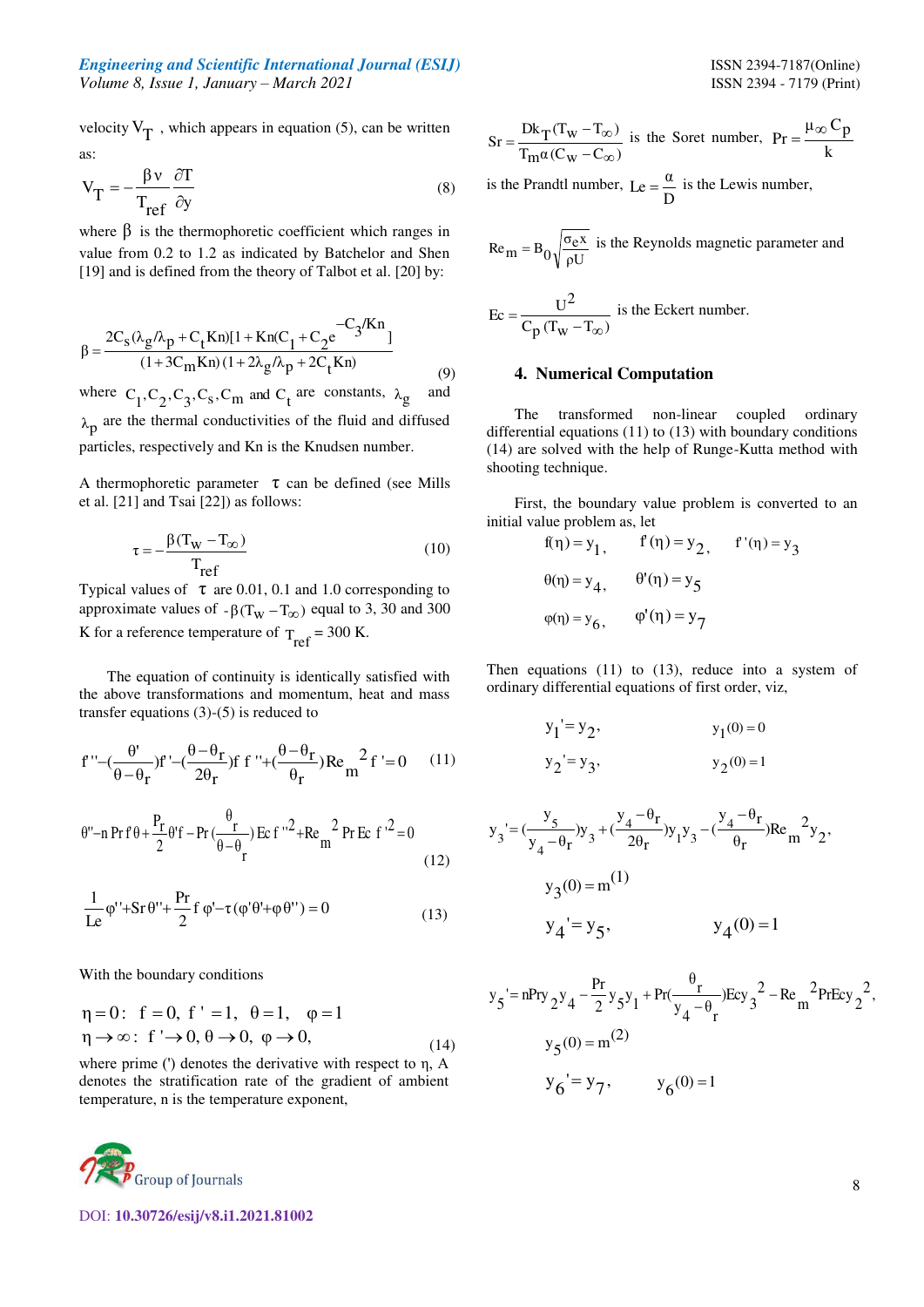## *Engineering and Scientific International Journal (ESIJ)* **ISSN 2394-7187(Online)** *Volume 8, Issue 1, January – March 2021* ISSN 2394 - 7179 (Print)

velocity  $V_T$ , which appears in equation (5), can be written as:

$$
V_T = -\frac{\beta v}{T_{ref}} \frac{\partial T}{\partial y}
$$
 (8)

where  $\beta$  is the thermophoretic coefficient which ranges in value from 0.2 to 1.2 as indicated by Batchelor and Shen [19] and is defined from the theory of Talbot et al. [20] by:

$$
\beta = \frac{2C_{s}(\lambda_{g} / \lambda_{p} + C_{t} Kn)[1 + Kn(C_{1} + C_{2}e^{-C_{3}/Kn)}]}{(1 + 3C_{m} Kn)(1 + 2\lambda_{g} / \lambda_{p} + 2C_{t} Kn)}
$$
(9)

where  $C_1, C_2, C_3, C_s, C_m$  and  $C_t$  are constants,  $\lambda_g$  and  $\lambda_p$  are the thermal conductivities of the fluid and diffused particles, respectively and Kn is the Knudsen number.

A thermophoretic parameter  $\tau$  can be defined (see Mills et al. [21] and Tsai [22]) as follows:

$$
\tau = -\frac{\beta(T_W - T_{\infty})}{T_{ref}}
$$
 (10)

Typical values of  $\tau$  are 0.01, 0.1 and 1.0 corresponding to approximate values of  $-\beta(T_W - T_\infty)$  equal to 3, 30 and 300 K for a reference temperature of  $T_{ref} = 300$  K.

The equation of continuity is identically satisfied with the above transformations and momentum, heat and mass transfer equations (3)-(5) is reduced to

$$
f'' - \left(\frac{\theta'}{\theta - \theta_r}\right)f' - \left(\frac{\theta - \theta_r}{2\theta_r}\right)f' + \left(\frac{\theta - \theta_r}{\theta_r}\right)Re_m^2 f' = 0 \tag{11}
$$

$$
\theta''-n \Pr f \theta + \frac{P_r}{2} \theta' f - \Pr \left(\frac{\theta}{\theta - \theta} \right) \operatorname{Ec} f''^2 + \operatorname{Re} \frac{2}{m} \Pr \operatorname{Ec} f'^2 = 0
$$
\n(12)

$$
\frac{1}{Le}\varphi'' + Sr \theta'' + \frac{Pr}{2}f \varphi' - \tau(\varphi' \theta' + \varphi \theta'') = 0
$$
\n(13)

With the boundary conditions

$$
\eta = 0: \quad f = 0, \quad f' = 1, \quad \theta = 1, \quad \varphi = 1
$$
\n
$$
\eta \to \infty: \quad f' \to 0, \quad \theta \to 0, \quad \varphi \to 0,
$$
\n
$$
(14)
$$

where prime (') denotes the derivative with respect to η, A denotes the stratification rate of the gradient of ambient temperature, n is the temperature exponent,



DOI: **10.30726/esij/v8.i1.2021.81002**

$$
Sr = \frac{Dk_T(T_W - T_{\infty})}{T_m\alpha(C_W - C_{\infty})}
$$
 is the Soret number, 
$$
Pr = \frac{\mu_{\infty}C_p}{k}
$$

is the Prandtl number, D Le =  $\frac{\alpha}{\beta}$  is the Lewis number,

$$
Re_{\text{m}} = B_0 \sqrt{\frac{\sigma_e x}{\rho U}}
$$
 is the Reynolds magnetic parameter and

$$
Ec = \frac{U^2}{C_p (T_w - T_{\infty})}
$$
 is the Eckert number.

# **4. Numerical Computation**

The transformed non-linear coupled ordinary differential equations (11) to (13) with boundary conditions (14) are solved with the help of Runge-Kutta method with shooting technique.

 First, the boundary value problem is converted to an initial value problem as, let

$$
f(\eta) = y_1, \qquad f(\eta) = y_2, \qquad f'(\eta) = y_3
$$
  
\n
$$
\theta(\eta) = y_4, \qquad \theta'(\eta) = y_5
$$
  
\n
$$
\varphi(\eta) = y_6, \qquad \varphi'(\eta) = y_7
$$

Then equations (11) to (13), reduce into a system of ordinary differential equations of first order, viz,

$$
y_1' = y_2,
$$
  
\n $y_2' = y_3,$   
\n $y_2(0) = 1$ 

$$
y_3' = \left(\frac{y_5}{y_4 - \theta_r}\right)y_3 + \left(\frac{y_4 - \theta_r}{2\theta_r}\right)y_1y_3 - \left(\frac{y_4 - \theta_r}{\theta_r}\right)Re_m^2y_2,
$$
  

$$
y_3(0) = m^{(1)}
$$
  

$$
y_4' = y_5, \qquad y_4(0) = 1
$$

$$
y_{5} = nPry_{2}y_{4} - \frac{Pr}{2}y_{5}y_{1} + Pr(\frac{\theta_{r}}{y_{4} - \theta_{r}})Ecy_{3}^{2} - Re_{m}^{2}PrEcy_{2}^{2},
$$
  
\n
$$
y_{5}(0) = m^{(2)}
$$
  
\n
$$
y_{6} = y_{7}, \qquad y_{6}(0) = 1
$$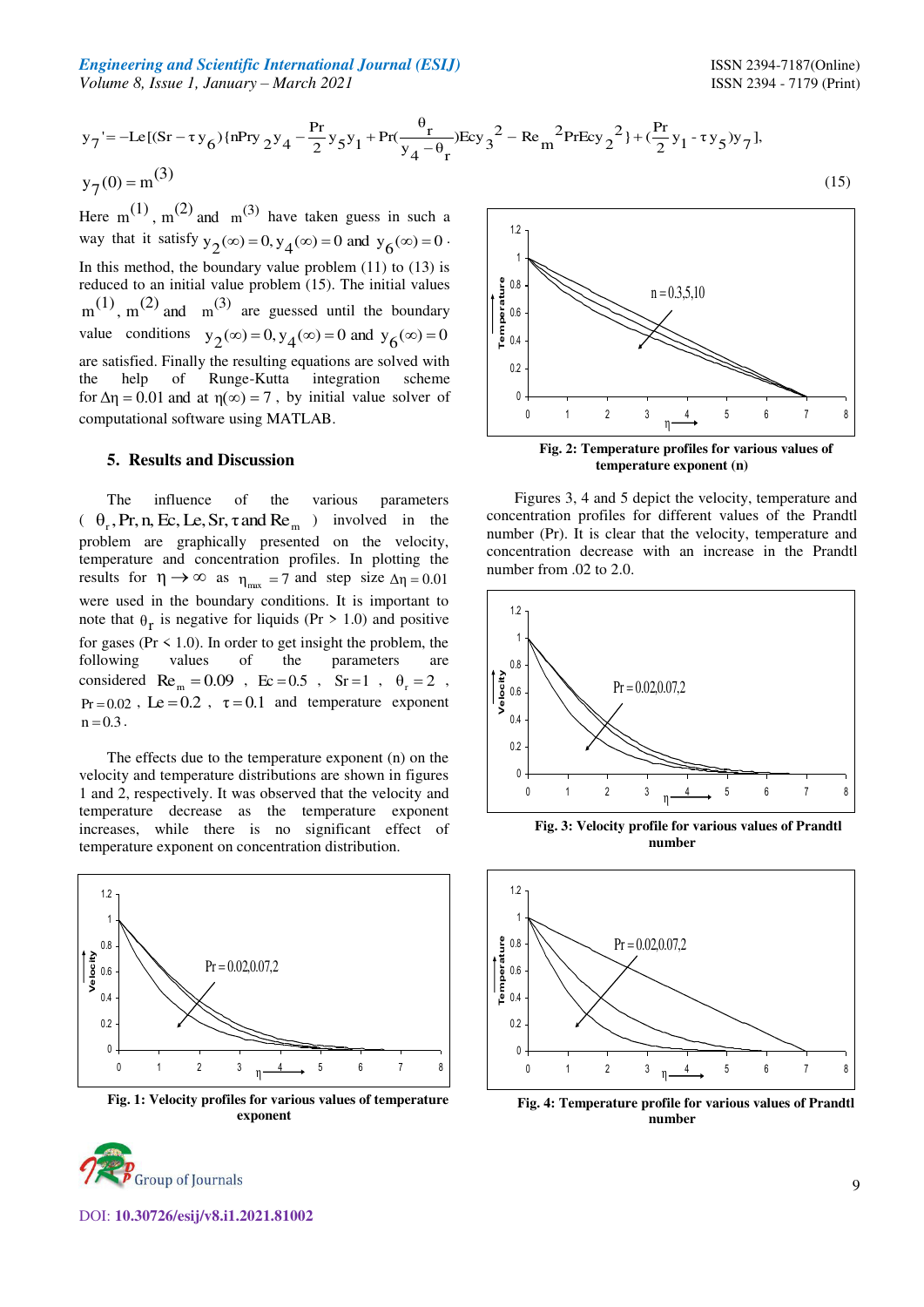*Engineering and Scientific International Journal (ESIJ)* **ISSN 2394-7187(Online) ISSN 2394-7187(Online)** *Volume 8, Issue 1, January – March 2021* ISSN 2394 - 7179 (Print)

 $(15)$ 

$$
y_7' = -Le[(Sr - \tau y_6) \{nPry_2y_4 - \frac{Pr}{2}y_5y_1 + Pr(\frac{\theta_r}{y_4 - \theta_r})Ecy_3^2 - Re_m^2 PrEcy_2^2\} + (\frac{Pr}{2}y_1 - \tau y_5)y_7],
$$
  
\n
$$
y_7(0) = m^{(3)}
$$

Here m<sup>(1)</sup>, m<sup>(2)</sup> and m<sup>(3)</sup> have taken guess in such a way that it satisfy  $y_2(\infty) = 0$ ,  $y_4(\infty) = 0$  and  $y_6(\infty) = 0$ . In this method, the boundary value problem  $(11)$  to  $(13)$  is reduced to an initial value problem (15). The initial values  $m^{(1)}$ ,  $m^{(2)}$  and  $m^{(3)}$  are guessed until the boundary value conditions  $y_2(\infty) = 0$ ,  $y_4(\infty) = 0$  and  $y_6(\infty) = 0$ are satisfied. Finally the resulting equations are solved with the help of Runge-Kutta integration scheme for  $\Delta \eta = 0.01$  and at  $\eta(\infty) = 7$ , by initial value solver of computational software using MATLAB.

#### **5. Results and Discussion**

The influence of the various parameters  $\left(\begin{array}{cc} \theta_r$ , Pr, n, Ec, Le, Sr,  $\tau$  and Re<sub>m</sub> ) involved in the problem are graphically presented on the velocity, temperature and concentration profiles. In plotting the results for  $\eta \rightarrow \infty$  as  $\eta_{\text{max}} = 7$  and step size  $\Delta \eta = 0.01$ were used in the boundary conditions. It is important to note that  $\theta_r$  is negative for liquids (Pr > 1.0) and positive for gases ( $Pr \le 1.0$ ). In order to get insight the problem, the following values of the parameters are considered  $\text{Re}_{m} = 0.09$ ,  $\text{Ec} = 0.5$ ,  $\text{Sr} = 1$ ,  $\theta_r = 2$ ,  $Pr = 0.02$ ,  $Le = 0.2$ ,  $\tau = 0.1$  and temperature exponent  $n = 0.3$ .

The effects due to the temperature exponent (n) on the velocity and temperature distributions are shown in figures 1 and 2, respectively. It was observed that the velocity and temperature decrease as the temperature exponent increases, while there is no significant effect of temperature exponent on concentration distribution.



**Fig. 1: Velocity profiles for various values of temperature exponent** 



**Fig. 2: Temperature profiles for various values of**  0  $0.2$ 0.4 0.6 0.8 1 1.2 0 1 2 3 4 5 6 7 8 **Temperature** η  $n = 0.3,5,10$ 

**temperature exponent (n)** 

Figures 3, 4 and 5 depict the velocity, temperature and concentration profiles for different values of the Prandtl number (Pr). It is clear that the velocity, temperature and concentration decrease with an increase in the Prandtl number from .02 to 2.0.



**Fig. 3: Velocity profile for various values of Prandtl number** 



**Fig. 4: Temperature profile for various values of Prandtl number**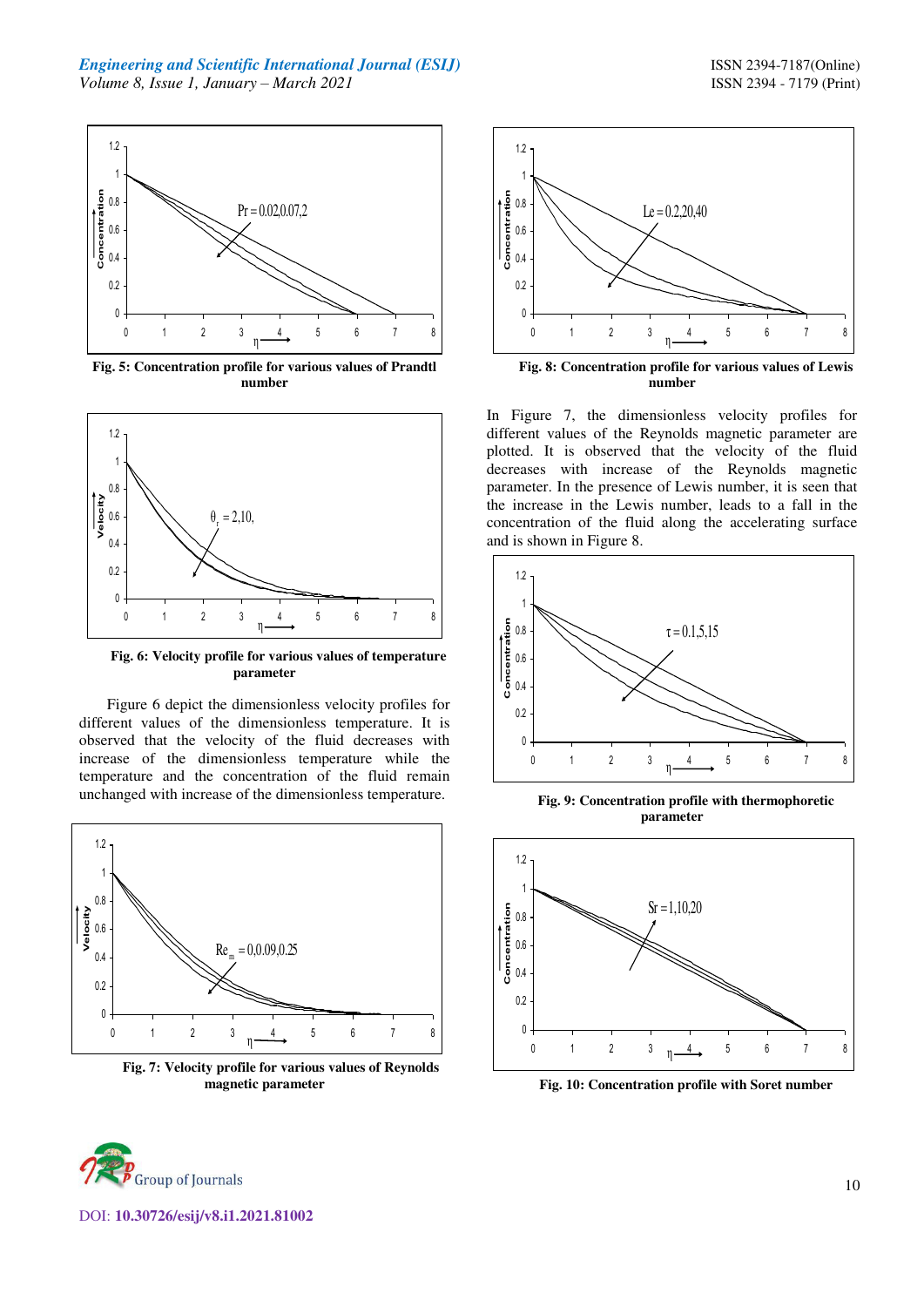

**Fig. 5: Concentration profile for various values of Prandtl number** 



**Fig. 6: Velocity profile for various values of temperature parameter** 

Figure 6 depict the dimensionless velocity profiles for different values of the dimensionless temperature. It is observed that the velocity of the fluid decreases with increase of the dimensionless temperature while the temperature and the concentration of the fluid remain unchanged with increase of the dimensionless temperature.



**Fig. 7: Velocity profile for various values of Reynolds magnetic parameter** 



**Fig. 8: Concentration profile for various values of Lewis number** 

In Figure 7, the dimensionless velocity profiles for different values of the Reynolds magnetic parameter are plotted. It is observed that the velocity of the fluid decreases with increase of the Reynolds magnetic parameter. In the presence of Lewis number, it is seen that the increase in the Lewis number, leads to a fall in the concentration of the fluid along the accelerating surface and is shown in Figure 8.



**Fig. 9: Concentration profile with thermophoretic parameter** 



**Fig. 10: Concentration profile with Soret number** 

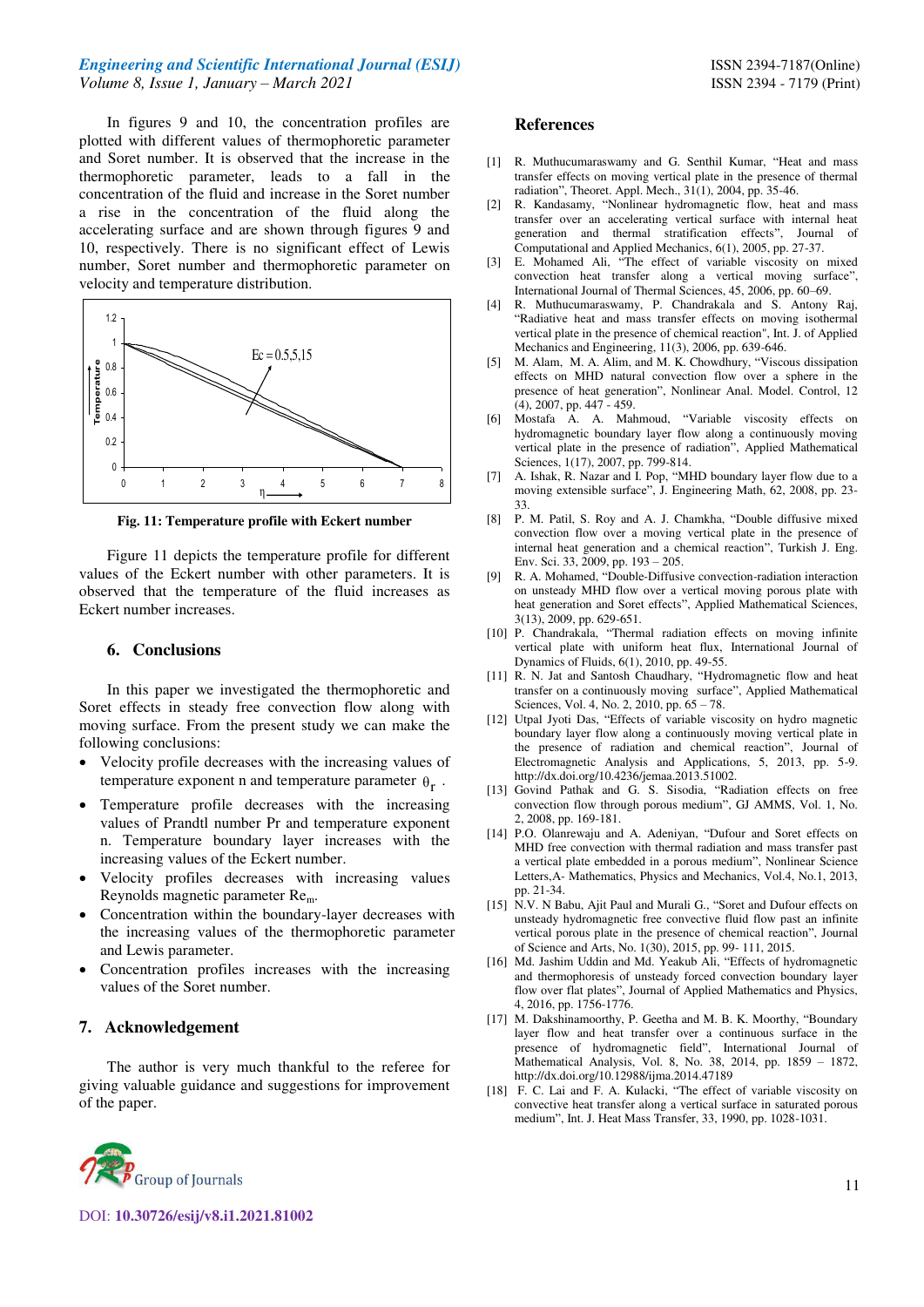#### *Engineering and Scientific International Journal (ESIJ)* **ISSN 2394-7187(Online) ISSN 2394-7187(Online)** *Volume 8, Issue 1, January – March 2021* ISSN 2394 - 7179 (Print)

In figures 9 and 10, the concentration profiles are plotted with different values of thermophoretic parameter and Soret number. It is observed that the increase in the thermophoretic parameter, leads to a fall in the concentration of the fluid and increase in the Soret number a rise in the concentration of the fluid along the accelerating surface and are shown through figures 9 and 10, respectively. There is no significant effect of Lewis number, Soret number and thermophoretic parameter on velocity and temperature distribution.



**Fig. 11: Temperature profile with Eckert number** 

Figure 11 depicts the temperature profile for different values of the Eckert number with other parameters. It is observed that the temperature of the fluid increases as Eckert number increases.

#### **6. Conclusions**

In this paper we investigated the thermophoretic and Soret effects in steady free convection flow along with moving surface. From the present study we can make the following conclusions:

- Velocity profile decreases with the increasing values of temperature exponent n and temperature parameter  $\theta_{r}$ .
- Temperature profile decreases with the increasing values of Prandtl number Pr and temperature exponent n. Temperature boundary layer increases with the increasing values of the Eckert number.
- Velocity profiles decreases with increasing values Reynolds magnetic parameter Rem.
- Concentration within the boundary-layer decreases with the increasing values of the thermophoretic parameter and Lewis parameter.
- Concentration profiles increases with the increasing values of the Soret number.

## **7. Acknowledgement**

The author is very much thankful to the referee for giving valuable guidance and suggestions for improvement of the paper.

#### **References**

- [1] R. Muthucumaraswamy and G. Senthil Kumar, "Heat and mass transfer effects on moving vertical plate in the presence of thermal radiation", Theoret. Appl. Mech., 31(1), 2004, pp. 35-46.
- [2] R. Kandasamy, "Nonlinear hydromagnetic flow, heat and mass transfer over an accelerating vertical surface with internal heat generation and thermal stratification effects", Journal of Computational and Applied Mechanics, 6(1), 2005, pp. 27-37.
- [3] E. Mohamed Ali, "The effect of variable viscosity on mixed convection heat transfer along a vertical moving surface", International Journal of Thermal Sciences, 45, 2006, pp. 60–69.
- [4] R. Muthucumaraswamy, P. Chandrakala and S. Antony Raj, "Radiative heat and mass transfer effects on moving isothermal vertical plate in the presence of chemical reaction", Int. J. of Applied Mechanics and Engineering, 11(3), 2006, pp. 639-646.
- [5] M. Alam, M. A. Alim, and M. K. Chowdhury, "Viscous dissipation effects on MHD natural convection flow over a sphere in the presence of heat generation", Nonlinear Anal. Model. Control, 12 (4), 2007, pp. 447 - 459.
- [6] Mostafa A. A. Mahmoud, "Variable viscosity effects on hydromagnetic boundary layer flow along a continuously moving vertical plate in the presence of radiation", Applied Mathematical Sciences, 1(17), 2007, pp. 799-814.
- [7] A. Ishak, R. Nazar and I. Pop, "MHD boundary layer flow due to a moving extensible surface", J. Engineering Math, 62, 2008, pp. 23- 33.
- [8] P. M. Patil, S. Roy and A. J. Chamkha, "Double diffusive mixed convection flow over a moving vertical plate in the presence of internal heat generation and a chemical reaction", Turkish J. Eng. Env. Sci. 33, 2009, pp. 193 – 205.
- [9] R. A. Mohamed, "Double-Diffusive convection-radiation interaction on unsteady MHD flow over a vertical moving porous plate with heat generation and Soret effects", Applied Mathematical Sciences, 3(13), 2009, pp. 629-651.
- [10] P. Chandrakala, "Thermal radiation effects on moving infinite vertical plate with uniform heat flux, International Journal of Dynamics of Fluids, 6(1), 2010, pp. 49-55.
- [11] R. N. Jat and Santosh Chaudhary, "Hydromagnetic flow and heat transfer on a continuously moving surface", Applied Mathematical Sciences, Vol. 4, No. 2, 2010, pp. 65 – 78.
- [12] Utpal Jyoti Das, "Effects of variable viscosity on hydro magnetic boundary layer flow along a continuously moving vertical plate in the presence of radiation and chemical reaction", Journal of Electromagnetic Analysis and Applications, 5, 2013, pp. 5-9. http://dx.doi.org/10.4236/jemaa.2013.51002.
- [13] Govind Pathak and G. S. Sisodia, "Radiation effects on free convection flow through porous medium", GJ AMMS, Vol. 1, No. 2, 2008, pp. 169-181.
- [14] P.O. Olanrewaju and A. Adeniyan, "Dufour and Soret effects on MHD free convection with thermal radiation and mass transfer past a vertical plate embedded in a porous medium", Nonlinear Science Letters,A- Mathematics, Physics and Mechanics, Vol.4, No.1, 2013, pp. 21-34.
- [15] N.V. N Babu, Ajit Paul and Murali G., "Soret and Dufour effects on unsteady hydromagnetic free convective fluid flow past an infinite vertical porous plate in the presence of chemical reaction", Journal of Science and Arts, No. 1(30), 2015, pp. 99- 111, 2015.
- [16] Md. Jashim Uddin and Md. Yeakub Ali, "Effects of hydromagnetic and thermophoresis of unsteady forced convection boundary layer flow over flat plates", Journal of Applied Mathematics and Physics, 4, 2016, pp. 1756-1776.
- [17] M. Dakshinamoorthy, P. Geetha and M. B. K. Moorthy, "Boundary layer flow and heat transfer over a continuous surface in the presence of hydromagnetic field", International Journal of Mathematical Analysis, Vol. 8, No. 38, 2014, pp. 1859 – 1872, http://dx.doi.org/10.12988/ijma.2014.47189
- [18] F. C. Lai and F. A. Kulacki, "The effect of variable viscosity on convective heat transfer along a vertical surface in saturated porous medium", Int. J. Heat Mass Transfer, 33, 1990, pp. 1028-1031.